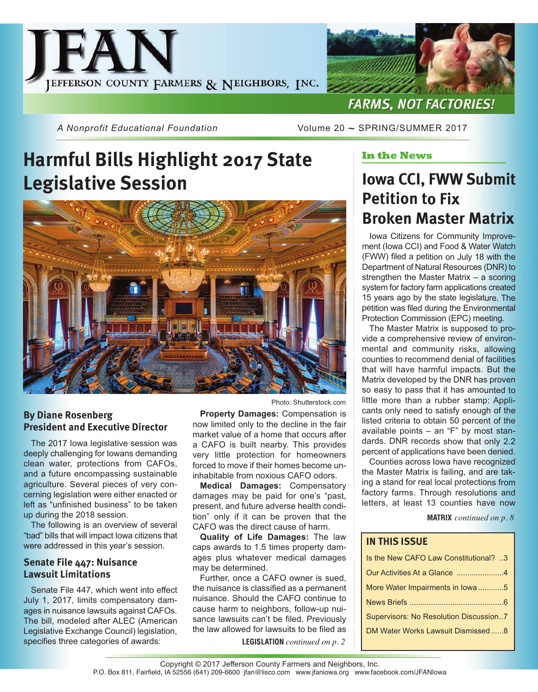

*A Nonprofit Educational Foundation* Volume 20 ~ SPRING/SUMMER 2017

# **Harmful Bills Highlight 2017 State Legislative Session**



## **By Diane Rosenberg President and Executive Director**

The 2017 Iowa legislative session was deeply challenging for Iowans demanding clean water, protections from CAFOs, and a future encompassing sustainable agriculture. Several pieces of very concerning legislation were either enacted or left as "unfinished business" to be taken up during the 2018 session.

The following is an overview of several "bad" bills that will impact Iowa citizens that were addressed in this year's session.

## **Senate File 447: Nuisance Lawsuit Limitations**

Senate File 447, which went into effect July 1, 2017, limits compensatory damages in nuisance lawsuits against CAFOs. The bill, modeled after ALEC (American Legislative Exchange Council) legislation, specifies three categories of awards:

Photo: Shutterstock.com

**Property Damages:** Compensation is now limited only to the decline in the fair market value of a home that occurs after a CAFO is built nearby. This provides very little protection for homeowners forced to move if their homes become uninhabitable from noxious CAFO odors.

**Medical Damages:** Compensatory damages may be paid for one's "past, present, and future adverse health condition" only if it can be proven that the CAFO was the direct cause of harm.

**Quality of Life Damages:** The law caps awards to 1.5 times property damages plus whatever medical damages may be determined.

Further, once a CAFO owner is sued, the nuisance is classified as a permanent nuisance. Should the CAFO continue to cause harm to neighbors, follow-up nuisance lawsuits can't be filed. Previously the law allowed for lawsuits to be filed as

**LEGISLATION** *continued on p. 2*

## **In the News**

## **Iowa CCI, FWW Submit Petition to Fix Broken Master Matrix**

Iowa Citizens for Community Improvement (Iowa CCI) and Food & Water Watch (FWW) filed a petition on July 18 with the Department of Natural Resources (DNR) to strengthen the Master Matrix – a scoring system for factory farm applications created 15 years ago by the state legislature. The petition was filed during the Environmental Protection Commission (EPC) meeting.

The Master Matrix is supposed to provide a comprehensive review of environmental and community risks, allowing counties to recommend denial of facilities that will have harmful impacts. But the Matrix developed by the DNR has proven so easy to pass that it has amounted to little more than a rubber stamp: Applicants only need to satisfy enough of the listed criteria to obtain 50 percent of the available points – an "F" by most standards. DNR records show that only 2.2 percent of applications have been denied.

Counties across Iowa have recognized the Master Matrix is failing, and are taking a stand for real local protections from factory farms. Through resolutions and letters, at least 13 counties have now

**MATRIX** *continued on p. 8*

#### **IN THIS ISSUE**

| Is the New CAFO Law Constitutional? 3  |
|----------------------------------------|
| Our Activities At a Glance 4           |
| More Water Impairments in Iowa5        |
|                                        |
| Supervisors: No Resolution Discussion7 |
| DM Water Works Lawsuit Dismissed8      |
|                                        |

Copyright © 2017 Jefferson County Farmers and Neighbors, Inc. P.O. Box 811, Fairfield, IA 52556 (641) 209-6600 jfan@lisco.com www.jfaniowa.org www.facebook.com/JFANIowa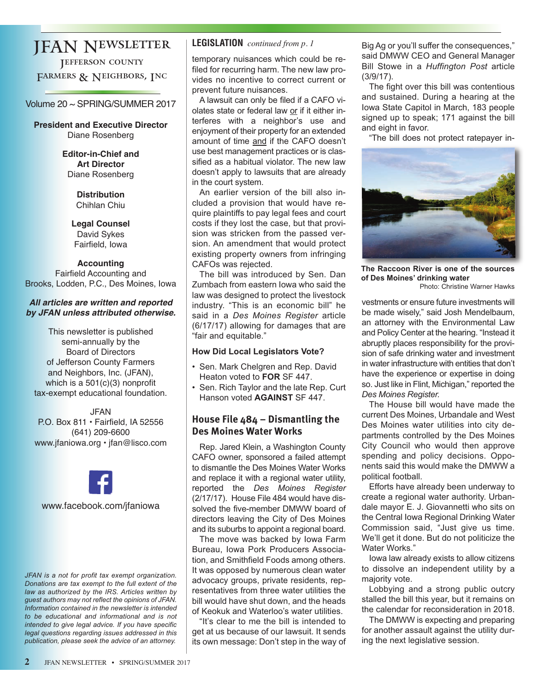## JFAN Newsletter

Jefferson county FARMERS & NEIGHBORS, INC

## Volume 20 ~ SPRING/SUMMER 2017

**President and Executive Director** Diane Rosenberg

> **Editor-in-Chief and Art Director** Diane Rosenberg

> > **Distribution** Chihlan Chiu

**Legal Counsel** David Sykes Fairfield, Iowa

### **Accounting**

Fairfield Accounting and Brooks, Lodden, P.C., Des Moines, Iowa

#### *All articles are written and reported by JFAN unless attributed otherwise.*

This newsletter is published semi-annually by the Board of Directors of Jefferson County Farmers and Neighbors, Inc. (JFAN), which is a 501(c)(3) nonprofit tax-exempt educational foundation.

JFAN P.O. Box 811 • Fairfield, IA 52556 (641) 209-6600 www.jfaniowa.org • jfan@lisco.com



*JFAN is a not for profit tax exempt organization. Donations are tax exempt to the full extent of the law as authorized by the IRS. Articles written by guest authors may not reflect the opinions of JFAN. Information contained in the newsletter is intended to be educational and informational and is not intended to give legal advice. If you have specific legal questions regarding issues addressed in this publication, please seek the advice of an attorney.*

## **LEGISLATION** *continued from p. 1*

temporary nuisances which could be refiled for recurring harm. The new law provides no incentive to correct current or prevent future nuisances.

A lawsuit can only be filed if a CAFO violates state or federal law or if it either interferes with a neighbor's use and enjoyment of their property for an extended amount of time and if the CAFO doesn't use best management practices or is classified as a habitual violator. The new law doesn't apply to lawsuits that are already in the court system.

An earlier version of the bill also included a provision that would have require plaintiffs to pay legal fees and court costs if they lost the case, but that provision was stricken from the passed version. An amendment that would protect existing property owners from infringing CAFOs was rejected.

The bill was introduced by Sen. Dan Zumbach from eastern Iowa who said the law was designed to protect the livestock industry. "This is an economic bill" he said in a *Des Moines Register* article (6/17/17) allowing for damages that are "fair and equitable."

### **How Did Local Legislators Vote?**

- Sen. Mark Chelgren and Rep. David Heaton voted to **FOR** SF 447.
- Sen. Rich Taylor and the late Rep. Curt Hanson voted **AGAINST** SF 447.

## **House File 484 – Dismantling the Des Moines Water Works**

Rep. Jared Klein, a Washington County CAFO owner, sponsored a failed attempt to dismantle the Des Moines Water Works and replace it with a regional water utility, reported the *Des Moines Register* (2/17/17). House File 484 would have dissolved the five-member DMWW board of directors leaving the City of Des Moines and its suburbs to appoint a regional board.

The move was backed by Iowa Farm Bureau, Iowa Pork Producers Association, and Smithfield Foods among others. It was opposed by numerous clean water advocacy groups, private residents, representatives from three water utilities the bill would have shut down, and the heads of Keokuk and Waterloo's water utilities.

"It's clear to me the bill is intended to get at us because of our lawsuit. It sends its own message: Don't step in the way of Big Ag or you'll suffer the consequences," said DMWW CEO and General Manager Bill Stowe in a *Huffington Post* article (3/9/17).

The fight over this bill was contentious and sustained. During a hearing at the Iowa State Capitol in March, 183 people signed up to speak; 171 against the bill and eight in favor.

"The bill does not protect ratepayer in-



**The Raccoon River is one of the sources of Des Moines' drinking water** 

Photo: Christine Warner Hawks

vestments or ensure future investments will be made wisely," said Josh Mendelbaum, an attorney with the Environmental Law and Policy Center at the hearing. "Instead it abruptly places responsibility for the provision of safe drinking water and investment in water infrastructure with entities that don't have the experience or expertise in doing so. Just like in Flint, Michigan," reported the *Des Moines Register.*

The House bill would have made the current Des Moines, Urbandale and West Des Moines water utilities into city departments controlled by the Des Moines City Council who would then approve spending and policy decisions. Opponents said this would make the DMWW a political football.

Efforts have already been underway to create a regional water authority. Urbandale mayor E. J. Giovannetti who sits on the Central Iowa Regional Drinking Water Commission said, "Just give us time. We'll get it done. But do not politicize the Water Works."

Iowa law already exists to allow citizens to dissolve an independent utility by a majority vote.

Lobbying and a strong public outcry stalled the bill this year, but it remains on the calendar for reconsideration in 2018.

The DMWW is expecting and preparing for another assault against the utility during the next legislative session.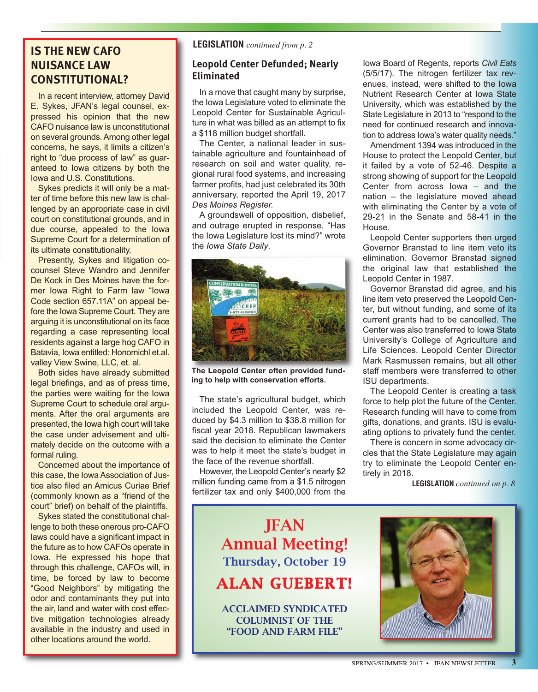## **NUISANCE LAW CONSTITUTIONAL?**

In a recent interview, attorney David E. Sykes, JFAN's legal counsel, expressed his opinion that the new CAFO nuisance law is unconstitutional on several grounds. Among other legal concerns, he says, it limits a citizen's right to "due process of law" as guaranteed to Iowa citizens by both the Iowa and U.S. Constitutions.

Sykes predicts it will only be a matter of time before this new law is challenged by an appropriate case in civil court on constitutional grounds, and in due course, appealed to the Iowa Supreme Court for a determination of its ultimate constitutionality.

Presently, Sykes and litigation cocounsel Steve Wandro and Jennifer De Kock in Des Moines have the former Iowa Right to Farm law "Iowa Code section 657.11A" on appeal before the Iowa Supreme Court. They are arguing it is unconstitutional on its face regarding a case representing local residents against a large hog CAFO in Batavia, Iowa entitled: Honomichl et.al. valley View Swine, LLC, et. al.

Both sides have already submitted legal briefings, and as of press time, the parties were waiting for the Iowa Supreme Court to schedule oral arguments. After the oral arguments are presented, the Iowa high court will take the case under advisement and ultimately decide on the outcome with a formal ruling.

Concerned about the importance of this case, the Iowa Association of Justice also filed an Amicus Curiae Brief (commonly known as a "friend of the court" brief) on behalf of the plaintiffs.

Sykes stated the constitutional challenge to both these onerous pro-CAFO laws could have a significant impact in the future as to how CAFOs operate in Iowa. He expressed his hope that through this challenge, CAFOs will, in time, be forced by law to become "Good Neighbors" by mitigating the odor and contaminants they put into the air, land and water with cost effective mitigation technologies already available in the industry and used in other locations around the world.

## **LEGISLATION** *continued from p. 2* **IS THE NEW CAFO**

#### **Leopold Center Defunded; Nearly Eliminated**

In a move that caught many by surprise, the Iowa Legislature voted to eliminate the Leopold Center for Sustainable Agriculture in what was billed as an attempt to fix a \$118 million budget shortfall.

The Center, a national leader in sustainable agriculture and fountainhead of research on soil and water quality, regional rural food systems, and increasing farmer profits, had just celebrated its 30th anniversary, reported the April 19, 2017 *Des Moines Register.*

A groundswell of opposition, disbelief, and outrage erupted in response. "Has the Iowa Legislature lost its mind?" wrote the *Iowa State Daily*.



**The Leopold Center often provided funding to help with conservation efforts.**

The state's agricultural budget, which included the Leopold Center, was reduced by \$4.3 million to \$38.8 million for fiscal year 2018. Republican lawmakers said the decision to eliminate the Center was to help it meet the state's budget in the face of the revenue shortfall.

However, the Leopold Center's nearly \$2 million funding came from a \$1.5 nitrogen fertilizer tax and only \$400,000 from the

Iowa Board of Regents, reports *Civil Eats* (5/5/17). The nitrogen fertilizer tax revenues, instead, were shifted to the Iowa Nutrient Research Center at Iowa State University, which was established by the State Legislature in 2013 to "respond to the need for continued research and innovation to address Iowa's water quality needs."

Amendment 1394 was introduced in the House to protect the Leopold Center, but it failed by a vote of 52-46. Despite a strong showing of support for the Leopold Center from across Iowa – and the nation – the legislature moved ahead with eliminating the Center by a vote of 29-21 in the Senate and 58-41 in the House.

Leopold Center supporters then urged Governor Branstad to line item veto its elimination. Governor Branstad signed the original law that established the Leopold Center in 1987.

Governor Branstad did agree, and his line item veto preserved the Leopold Center, but without funding, and some of its current grants had to be cancelled. The Center was also transferred to Iowa State University's College of Agriculture and Life Sciences. Leopold Center Director Mark Rasmussen remains, but all other staff members were transferred to other ISU departments.

The Leopold Center is creating a task force to help plot the future of the Center. Research funding will have to come from gifts, donations, and grants. ISU is evaluating options to privately fund the center.

There is concern in some advocacy circles that the State Legislature may again try to eliminate the Leopold Center entirely in 2018.

**LEGISLATION** *continued on p. 8*

JFAN Annual Meeting! Thursday, October 19 ALAN GUEBERT!

ACCLAIMED SYNDICATED COLUMNIST OF THE "FOOD AND FARM FILE"

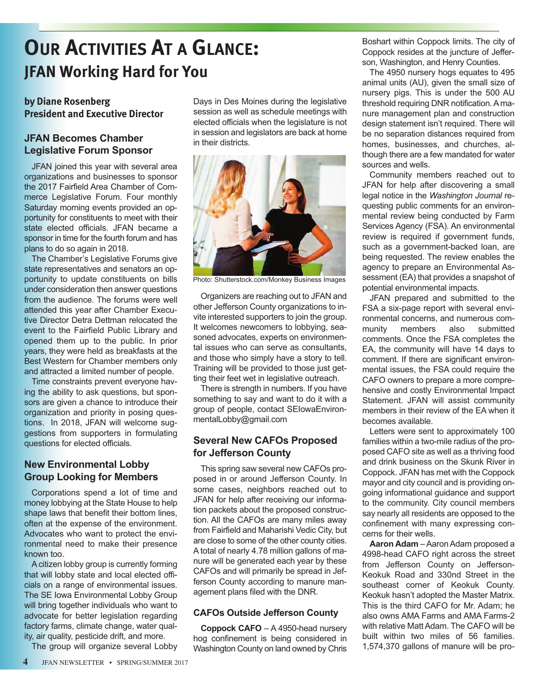# **OUR ACTIVITIES AT A GLANCE: JFAN Working Hard for You**

## **by Diane Rosenberg President and Executive Director**

## **JFAN Becomes Chamber Legislative Forum Sponsor**

JFAN joined this year with several area organizations and businesses to sponsor the 2017 Fairfield Area Chamber of Commerce Legislative Forum. Four monthly Saturday morning events provided an opportunity for constituents to meet with their state elected officials. JFAN became a sponsor in time for the fourth forum and has plans to do so again in 2018.

The Chamber's Legislative Forums give state representatives and senators an opportunity to update constituents on bills under consideration then answer questions from the audience. The forums were well attended this year after Chamber Executive Director Detra Dettman relocated the event to the Fairfield Public Library and opened them up to the public. In prior years, they were held as breakfasts at the Best Western for Chamber members only and attracted a limited number of people.

Time constraints prevent everyone having the ability to ask questions, but sponsors are given a chance to introduce their organization and priority in posing questions. In 2018, JFAN will welcome suggestions from supporters in formulating questions for elected officials.

## **New Environmental Lobby Group Looking for Members**

Corporations spend a lot of time and money lobbying at the State House to help shape laws that benefit their bottom lines, often at the expense of the environment. Advocates who want to protect the environmental need to make their presence known too.

A citizen lobby group is currently forming that will lobby state and local elected officials on a range of environmental issues. The SE Iowa Environmental Lobby Group will bring together individuals who want to advocate for better legislation regarding factory farms, climate change, water quality, air quality, pesticide drift, and more.

The group will organize several Lobby

Days in Des Moines during the legislative session as well as schedule meetings with elected officials when the legislature is not in session and legislators are back at home in their districts.



Photo: Shutterstock.com/Monkey Business Images

Organizers are reaching out to JFAN and other Jefferson County organizations to invite interested supporters to join the group. It welcomes newcomers to lobbying, seasoned advocates, experts on environmental issues who can serve as consultants, and those who simply have a story to tell. Training will be provided to those just getting their feet wet in legislative outreach.

There is strength in numbers. If you have something to say and want to do it with a group of people, contact SEIowaEnvironmentalLobby@gmail.com

## **Several New CAFOs Proposed for Jefferson County**

This spring saw several new CAFOs proposed in or around Jefferson County. In some cases, neighbors reached out to JFAN for help after receiving our information packets about the proposed construction. All the CAFOs are many miles away from Fairfield and Maharishi Vedic City, but are close to some of the other county cities. A total of nearly 4.78 million gallons of manure will be generated each year by these CAFOs and will primarily be spread in Jefferson County according to manure management plans filed with the DNR.

### **CAFOs Outside Jefferson County**

**Coppock CAFO** – A 4950-head nursery hog confinement is being considered in Washington County on land owned by Chris

Boshart within Coppock limits. The city of Coppock resides at the juncture of Jefferson, Washington, and Henry Counties.

The 4950 nursery hogs equates to 495 animal units (AU), given the small size of nursery pigs. This is under the 500 AU threshold requiring DNR notification. A manure management plan and construction design statement isn't required. There will be no separation distances required from homes, businesses, and churches, although there are a few mandated for water sources and wells.

Community members reached out to JFAN for help after discovering a small legal notice in the *Washington Journal* requesting public comments for an environmental review being conducted by Farm Services Agency (FSA). An environmental review is required if government funds, such as a government-backed loan, are being requested. The review enables the agency to prepare an Environmental Assessment (EA) that provides a snapshot of potential environmental impacts.

JFAN prepared and submitted to the FSA a six-page report with several environmental concerns, and numerous community members also submitted comments. Once the FSA completes the EA, the community will have 14 days to comment. If there are significant environmental issues, the FSA could require the CAFO owners to prepare a more comprehensive and costly Environmental Impact Statement. JFAN will assist community members in their review of the EA when it becomes available.

Letters were sent to approximately 100 families within a two-mile radius of the proposed CAFO site as well as a thriving food and drink business on the Skunk River in Coppock. JFAN has met with the Coppock mayor and city council and is providing ongoing informational guidance and support to the community. City council members say nearly all residents are opposed to the confinement with many expressing concerns for their wells.

**Aaron Adam** – Aaron Adam proposed a 4998-head CAFO right across the street from Jefferson County on Jefferson-Keokuk Road and 330nd Street in the southeast corner of Keokuk County. Keokuk hasn't adopted the Master Matrix. This is the third CAFO for Mr. Adam; he also owns AMA Farms and AMA Farms-2 with relative Matt Adam. The CAFO will be built within two miles of 56 families. 1,574,370 gallons of manure will be pro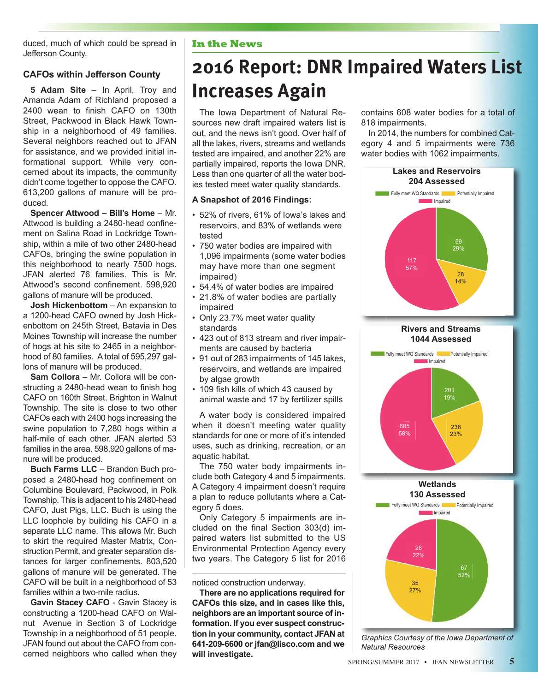duced, much of which could be spread in Jefferson County.

## **CAFOs within Jefferson County**

**5 Adam Site** – In April, Troy and Amanda Adam of Richland proposed a 2400 wean to finish CAFO on 130th Street, Packwood in Black Hawk Township in a neighborhood of 49 families. Several neighbors reached out to JFAN for assistance, and we provided initial informational support. While very concerned about its impacts, the community didn't come together to oppose the CAFO. 613,200 gallons of manure will be produced.

**Spencer Attwood – Bill's Home – Mr.** Attwood is building a 2480-head confinement on Salina Road in Lockridge Township, within a mile of two other 2480-head CAFOs, bringing the swine population in this neighborhood to nearly 7500 hogs. JFAN alerted 76 families. This is Mr. Attwood's second confinement. 598,920 gallons of manure will be produced.

**Josh Hickenbottom** – An expansion to a 1200-head CAFO owned by Josh Hickenbottom on 245th Street, Batavia in Des Moines Township will increase the number of hogs at his site to 2465 in a neighborhood of 80 families. A total of 595,297 gallons of manure will be produced.

**Sam Collora** – Mr. Collora will be constructing a 2480-head wean to finish hog CAFO on 160th Street, Brighton in Walnut Township. The site is close to two other CAFOs each with 2400 hogs increasing the swine population to 7,280 hogs within a half-mile of each other. JFAN alerted 53 families in the area. 598,920 gallons of manure will be produced.

**Buch Farms LLC** – Brandon Buch proposed a 2480-head hog confinement on Columbine Boulevard, Packwood, in Polk Township. This is adjacent to his 2480-head CAFO, Just Pigs, LLC. Buch is using the LLC loophole by building his CAFO in a separate LLC name. This allows Mr. Buch to skirt the required Master Matrix, Construction Permit, and greater separation distances for larger confinements. 803,520 gallons of manure will be generated. The CAFO will be built in a neighborhood of 53 families within a two-mile radius.

**Gavin Stacey CAFO** - Gavin Stacey is constructing a 1200-head CAFO on Walnut Avenue in Section 3 of Lockridge Township in a neighborhood of 51 people. JFAN found out about the CAFO from concerned neighbors who called when they

#### **In the News**

# **2016 Report: DNR Impaired Waters List Increases Again**

The Iowa Department of Natural Resources new draft impaired waters list is out, and the news isn't good. Over half of all the lakes, rivers, streams and wetlands tested are impaired, and another 22% are partially impaired, reports the Iowa DNR. Less than one quarter of all the water bodies tested meet water quality standards.

#### **A Snapshot of 2016 Findings:**

- 52% of rivers, 61% of Iowa's lakes and reservoirs, and 83% of wetlands were tested
- 750 water bodies are impaired with 1,096 impairments (some water bodies may have more than one segment impaired)
- 54.4% of water bodies are impaired
- 21.8% of water bodies are partially impaired
- Only 23.7% meet water quality standards
- 423 out of 813 stream and river impairments are caused by bacteria
- 91 out of 283 impairments of 145 lakes, reservoirs, and wetlands are impaired by algae growth
- 109 fish kills of which 43 caused by animal waste and 17 by fertilizer spills

A water body is considered impaired when it doesn't meeting water quality standards for one or more of it's intended uses, such as drinking, recreation, or an aquatic habitat.

The 750 water body impairments include both Category 4 and 5 impairments. A Category 4 impairment doesn't require a plan to reduce pollutants where a Category 5 does.

Only Category 5 impairments are included on the final Section 303(d) impaired waters list submitted to the US Environmental Protection Agency every two years. The Category 5 list for 2016

noticed construction underway.

**There are no applications required for CAFOs this size, and in cases like this, neighbors are an important source of information. If you ever suspect construction in your community, contact JFAN at 641-209-6600 or jfan@lisco.com and we will investigate.** 

contains 608 water bodies for a total of 818 impairments.

In 2014, the numbers for combined Category 4 and 5 impairments were 736 water bodies with 1062 impairments.



**130 Assessed**



*Graphics Courtesy of the Iowa Department of Natural Resources*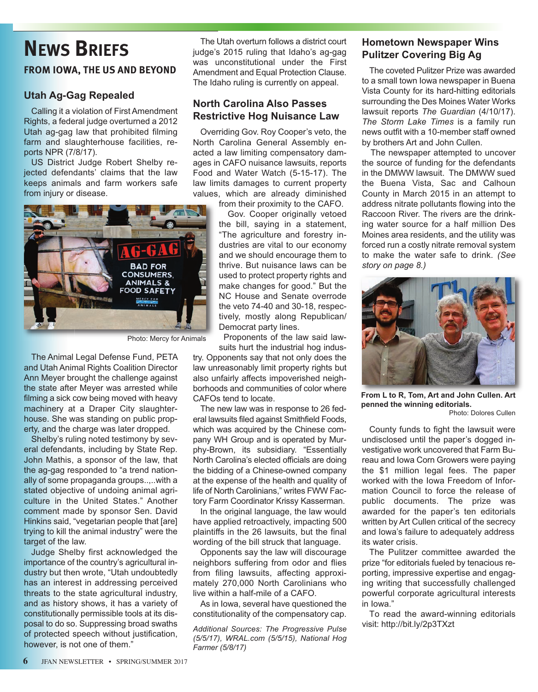# **NEWS BRIEFS**

## **FROM IOWA, THE US AND BEYOND**

### **Utah Ag-Gag Repealed**

Calling it a violation of First Amendment Rights, a federal judge overturned a 2012 Utah ag-gag law that prohibited filming farm and slaughterhouse facilities, reports NPR (7/8/17).

US District Judge Robert Shelby rejected defendants' claims that the law keeps animals and farm workers safe from injury or disease.



Photo: Mercy for Animals

The Animal Legal Defense Fund, PETA and Utah Animal Rights Coalition Director Ann Meyer brought the challenge against the state after Meyer was arrested while filming a sick cow being moved with heavy machinery at a Draper City slaughterhouse. She was standing on public property, and the charge was later dropped.

Shelby's ruling noted testimony by several defendants, including by State Rep. John Mathis, a sponsor of the law, that the ag-gag responded to "a trend nationally of some propaganda groups..,..with a stated objective of undoing animal agriculture in the United States." Another comment made by sponsor Sen. David Hinkins said, "vegetarian people that [are] trying to kill the animal industry" were the target of the law.

Judge Shelby first acknowledged the importance of the country's agricultural industry but then wrote, "Utah undoubtedly has an interest in addressing perceived threats to the state agricultural industry, and as history shows, it has a variety of constitutionally permissible tools at its disposal to do so. Suppressing broad swaths of protected speech without justification, however, is not one of them."

The Utah overturn follows a district court judge's 2015 ruling that Idaho's ag-gag was unconstitutional under the First Amendment and Equal Protection Clause. The Idaho ruling is currently on appeal.

## **North Carolina Also Passes Restrictive Hog Nuisance Law**

Overriding Gov. Roy Cooper's veto, the North Carolina General Assembly enacted a law limiting compensatory damages in CAFO nuisance lawsuits, reports Food and Water Watch (5-15-17). The law limits damages to current property values, which are already diminished

from their proximity to the CAFO.

Gov. Cooper originally vetoed the bill, saying in a statement, "The agriculture and forestry industries are vital to our economy and we should encourage them to thrive. But nuisance laws can be used to protect property rights and make changes for good." But the NC House and Senate overrode the veto 74-40 and 30-18, respectively, mostly along Republican/ Democrat party lines.

Proponents of the law said lawsuits hurt the industrial hog indus-

try. Opponents say that not only does the law unreasonably limit property rights but also unfairly affects impoverished neighborhoods and communities of color where CAFOs tend to locate.

The new law was in response to 26 federal lawsuits filed against Smithfield Foods, which was acquired by the Chinese company WH Group and is operated by Murphy-Brown, its subsidiary. "Essentially North Carolina's elected officials are doing the bidding of a Chinese-owned company at the expense of the health and quality of life of North Carolinians," writes FWW Factory Farm Coordinator Krissy Kasserman.

In the original language, the law would have applied retroactively, impacting 500 plaintiffs in the 26 lawsuits, but the final wording of the bill struck that language.

Opponents say the law will discourage neighbors suffering from odor and flies from filing lawsuits, affecting approximately 270,000 North Carolinians who live within a half-mile of a CAFO.

As in Iowa, several have questioned the constitutionality of the compensatory cap.

*Additional Sources: The Progressive Pulse (5/5/17), WRAL.com (5/5/15), National Hog Farmer (5/8/17)*

### **Hometown Newspaper Wins Pulitzer Covering Big Ag**

The coveted Pulitzer Prize was awarded to a small town Iowa newspaper in Buena Vista County for its hard-hitting editorials surrounding the Des Moines Water Works lawsuit reports The Guardian (4/10/17). *The Storm Lake Times* is a family run news outfit with a 10-member staff owned by brothers Art and John Cullen.

The newspaper attempted to uncover the source of funding for the defendants in the DMWW lawsuit. The DMWW sued the Buena Vista, Sac and Calhoun County in March 2015 in an attempt to address nitrate pollutants flowing into the Raccoon River. The rivers are the drinking water source for a half million Des Moines area residents, and the utility was forced run a costly nitrate removal system to make the water safe to drink. *(See story on page 8.)*



**From L to R, Tom, Art and John Cullen. Art penned the winning editorials.**  Photo: Dolores Cullen

County funds to fight the lawsuit were

undisclosed until the paper's dogged investigative work uncovered that Farm Bureau and Iowa Corn Growers were paying the \$1 million legal fees. The paper worked with the Iowa Freedom of Information Council to force the release of public documents. The prize was awarded for the paper's ten editorials written by Art Cullen critical of the secrecy and Iowa's failure to adequately address its water crisis.

The Pulitzer committee awarded the prize "for editorials fueled by tenacious reporting, impressive expertise and engaging writing that successfully challenged powerful corporate agricultural interests in Iowa."

To read the award-winning editorials visit: http://bit.ly/2p3TXzt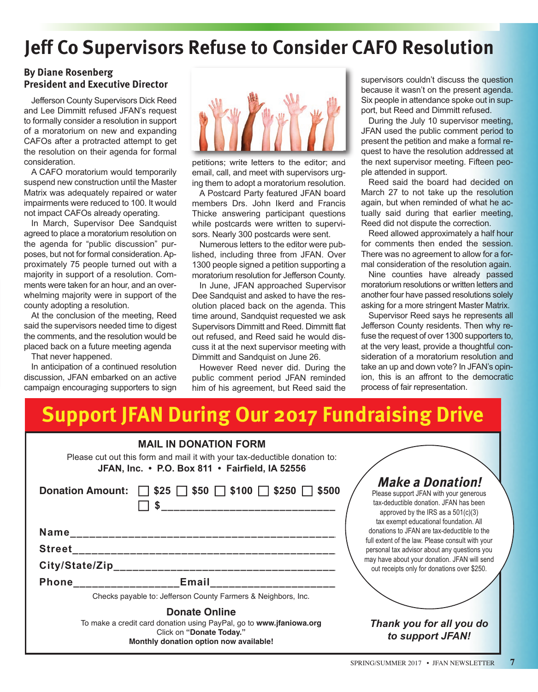# **Jeff Co Supervisors Refuse to Consider CAFO Resolution**

### **By Diane Rosenberg President and Executive Director**

Jefferson County Supervisors Dick Reed and Lee Dimmitt refused JFAN's request to formally consider a resolution in support of a moratorium on new and expanding CAFOs after a protracted attempt to get the resolution on their agenda for formal consideration.

A CAFO moratorium would temporarily suspend new construction until the Master Matrix was adequately repaired or water impairments were reduced to 100. It would not impact CAFOs already operating.

In March, Supervisor Dee Sandquist agreed to place a moratorium resolution on the agenda for "public discussion" purposes, but not for formal consideration. Approximately 75 people turned out with a majority in support of a resolution. Comments were taken for an hour, and an overwhelming majority were in support of the county adopting a resolution.

At the conclusion of the meeting, Reed said the supervisors needed time to digest the comments, and the resolution would be placed back on a future meeting agenda

That never happened.

In anticipation of a continued resolution discussion, JFAN embarked on an active campaign encouraging supporters to sign



petitions; write letters to the editor; and email, call, and meet with supervisors urging them to adopt a moratorium resolution.

A Postcard Party featured JFAN board members Drs. John Ikerd and Francis Thicke answering participant questions while postcards were written to supervisors. Nearly 300 postcards were sent.

Numerous letters to the editor were published, including three from JFAN. Over 1300 people signed a petition supporting a moratorium resolution for Jefferson County.

In June, JFAN approached Supervisor Dee Sandquist and asked to have the resolution placed back on the agenda. This time around, Sandquist requested we ask Supervisors Dimmitt and Reed. Dimmitt flat out refused, and Reed said he would discuss it at the next supervisor meeting with Dimmitt and Sandquist on June 26.

However Reed never did. During the public comment period JFAN reminded him of his agreement, but Reed said the supervisors couldn't discuss the question because it wasn't on the present agenda. Six people in attendance spoke out in support, but Reed and Dimmitt refused.

During the July 10 supervisor meeting, JFAN used the public comment period to present the petition and make a formal request to have the resolution addressed at the next supervisor meeting. Fifteen people attended in support.

Reed said the board had decided on March 27 to not take up the resolution again, but when reminded of what he actually said during that earlier meeting, Reed did not dispute the correction.

Reed allowed approximately a half hour for comments then ended the session. There was no agreement to allow for a formal consideration of the resolution again.

Nine counties have already passed moratorium resolutions or written letters and another four have passed resolutions solely asking for a more stringent Master Matrix.

Supervisor Reed says he represents all Jefferson County residents. Then why refuse the request of over 1300 supporters to, at the very least, provide a thoughtful consideration of a moratorium resolution and take an up and down vote? In JFAN's opinion, this is an affront to the democratic process of fair representation.

# **Support JFAN During Our 2017 Fundraising Drive**

| <b>MAIL IN DONATION FORM</b><br>Please cut out this form and mail it with your tax-deductible donation to:<br>JFAN, Inc. • P.O. Box 811 • Fairfield, IA 52556     |                                                                                                                                                                                               |
|-------------------------------------------------------------------------------------------------------------------------------------------------------------------|-----------------------------------------------------------------------------------------------------------------------------------------------------------------------------------------------|
| Donation Amount: $\Box$ \$25 $\Box$ \$50 $\Box$ \$100 $\Box$ \$250 $\Box$ \$500<br>___________________________                                                    | <b>Make a Donation!</b><br>Please support JFAN with your generous<br>tax-deductible donation. JFAN has been<br>approved by the IRS as a $501(c)(3)$<br>tax exempt educational foundation. All |
|                                                                                                                                                                   | donations to JFAN are tax-deductible to the                                                                                                                                                   |
| <b>Street</b>                                                                                                                                                     | full extent of the law. Please consult with your<br>personal tax advisor about any questions you                                                                                              |
|                                                                                                                                                                   | may have about your donation. JFAN will send<br>out receipts only for donations over \$250.                                                                                                   |
| Phone Email                                                                                                                                                       |                                                                                                                                                                                               |
| Checks payable to: Jefferson County Farmers & Neighbors, Inc.                                                                                                     |                                                                                                                                                                                               |
| <b>Donate Online</b><br>To make a credit card donation using PayPal, go to www.jfaniowa.org<br>Click on "Donate Today."<br>Monthly donation option now available! | Thank you for all you do<br>to support JFAN!                                                                                                                                                  |